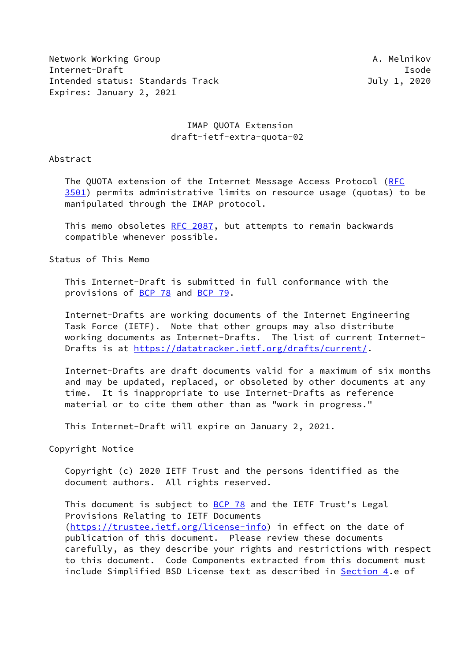Network Working Group **A. Melnikov** A. Melnikov Internet-Draft Isode Intended status: Standards Track July 1, 2020 Expires: January 2, 2021

# IMAP QUOTA Extension draft-ietf-extra-quota-02

Abstract

The QUOTA extension of the Internet Message Access Protocol [\(RFC](https://datatracker.ietf.org/doc/pdf/rfc3501) [3501](https://datatracker.ietf.org/doc/pdf/rfc3501)) permits administrative limits on resource usage (quotas) to be manipulated through the IMAP protocol.

 This memo obsoletes [RFC 2087,](https://datatracker.ietf.org/doc/pdf/rfc2087) but attempts to remain backwards compatible whenever possible.

Status of This Memo

 This Internet-Draft is submitted in full conformance with the provisions of [BCP 78](https://datatracker.ietf.org/doc/pdf/bcp78) and [BCP 79](https://datatracker.ietf.org/doc/pdf/bcp79).

 Internet-Drafts are working documents of the Internet Engineering Task Force (IETF). Note that other groups may also distribute working documents as Internet-Drafts. The list of current Internet- Drafts is at<https://datatracker.ietf.org/drafts/current/>.

 Internet-Drafts are draft documents valid for a maximum of six months and may be updated, replaced, or obsoleted by other documents at any time. It is inappropriate to use Internet-Drafts as reference material or to cite them other than as "work in progress."

This Internet-Draft will expire on January 2, 2021.

Copyright Notice

 Copyright (c) 2020 IETF Trust and the persons identified as the document authors. All rights reserved.

This document is subject to **[BCP 78](https://datatracker.ietf.org/doc/pdf/bcp78)** and the IETF Trust's Legal Provisions Relating to IETF Documents [\(https://trustee.ietf.org/license-info](https://trustee.ietf.org/license-info)) in effect on the date of publication of this document. Please review these documents carefully, as they describe your rights and restrictions with respect to this document. Code Components extracted from this document must include Simplified BSD License text as described in [Section 4.](#page-5-0)e of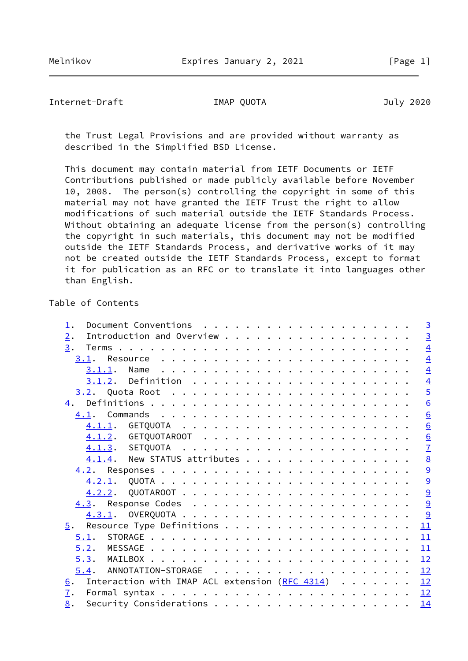Internet-Draft IMAP QUOTA July 2020

 the Trust Legal Provisions and are provided without warranty as described in the Simplified BSD License.

 This document may contain material from IETF Documents or IETF Contributions published or made publicly available before November 10, 2008. The person(s) controlling the copyright in some of this material may not have granted the IETF Trust the right to allow modifications of such material outside the IETF Standards Process. Without obtaining an adequate license from the person(s) controlling the copyright in such materials, this document may not be modified outside the IETF Standards Process, and derivative works of it may not be created outside the IETF Standards Process, except to format it for publication as an RFC or to translate it into languages other than English.

# Table of Contents

|                                                  |  | $\overline{3}$ |
|--------------------------------------------------|--|----------------|
| 3.                                               |  | $\overline{4}$ |
|                                                  |  | $\overline{4}$ |
|                                                  |  | $\overline{4}$ |
|                                                  |  | $\overline{4}$ |
|                                                  |  | $\overline{5}$ |
|                                                  |  | 6              |
|                                                  |  | 6              |
|                                                  |  | 6              |
|                                                  |  | 6              |
|                                                  |  | $\overline{1}$ |
| $4.1.4$ . New STATUS attributes                  |  | 8              |
|                                                  |  | $\overline{9}$ |
|                                                  |  | $\overline{9}$ |
|                                                  |  | $\overline{9}$ |
|                                                  |  | 9              |
|                                                  |  |                |
|                                                  |  | 11             |
| 5.1.                                             |  | 11             |
|                                                  |  | 11             |
| 5.3.                                             |  | 12             |
|                                                  |  | 12             |
| Interaction with IMAP ACL extension $(RFC 4314)$ |  | 12             |
|                                                  |  |                |
|                                                  |  | 14             |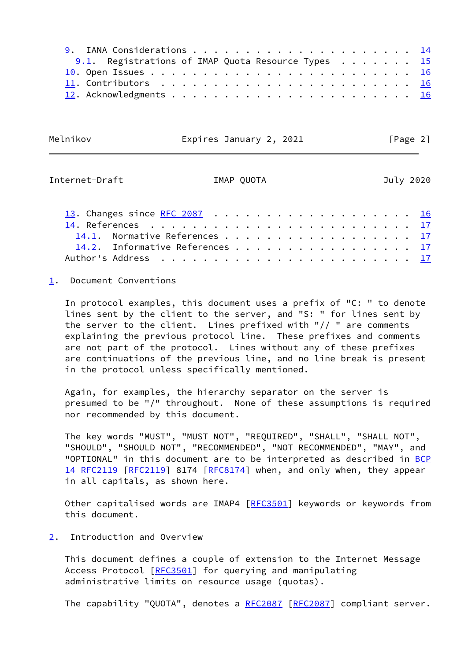| 9.1. Registrations of IMAP Quota Resource Types $15$ |  |
|------------------------------------------------------|--|
|                                                      |  |
|                                                      |  |
|                                                      |  |

Melnikov Expires January 2, 2021 [Page 2]

<span id="page-2-1"></span>Internet-Draft IMAP QUOTA July 2020

| 13. Changes since RFC 2087 16   |  |  |  |  |  |  |  |  |  |  |
|---------------------------------|--|--|--|--|--|--|--|--|--|--|
|                                 |  |  |  |  |  |  |  |  |  |  |
| 14.1. Normative References 17   |  |  |  |  |  |  |  |  |  |  |
| 14.2. Informative References 17 |  |  |  |  |  |  |  |  |  |  |
|                                 |  |  |  |  |  |  |  |  |  |  |

<span id="page-2-0"></span>[1](#page-2-0). Document Conventions

 In protocol examples, this document uses a prefix of "C: " to denote lines sent by the client to the server, and "S: " for lines sent by the server to the client. Lines prefixed with "// " are comments explaining the previous protocol line. These prefixes and comments are not part of the protocol. Lines without any of these prefixes are continuations of the previous line, and no line break is present in the protocol unless specifically mentioned.

 Again, for examples, the hierarchy separator on the server is presumed to be "/" throughout. None of these assumptions is required nor recommended by this document.

 The key words "MUST", "MUST NOT", "REQUIRED", "SHALL", "SHALL NOT", "SHOULD", "SHOULD NOT", "RECOMMENDED", "NOT RECOMMENDED", "MAY", and "OPTIONAL" in this document are to be interpreted as described in [BCP](https://datatracker.ietf.org/doc/pdf/bcp14) [14](https://datatracker.ietf.org/doc/pdf/bcp14) [RFC2119](https://datatracker.ietf.org/doc/pdf/rfc2119) [[RFC2119\]](https://datatracker.ietf.org/doc/pdf/rfc2119) 8174 [[RFC8174](https://datatracker.ietf.org/doc/pdf/rfc8174)] when, and only when, they appear in all capitals, as shown here.

Other capitalised words are IMAP4 [[RFC3501](https://datatracker.ietf.org/doc/pdf/rfc3501)] keywords or keywords from this document.

<span id="page-2-2"></span>[2](#page-2-2). Introduction and Overview

 This document defines a couple of extension to the Internet Message Access Protocol [\[RFC3501](https://datatracker.ietf.org/doc/pdf/rfc3501)] for querying and manipulating administrative limits on resource usage (quotas).

The capability "QUOTA", denotes a [RFC2087](https://datatracker.ietf.org/doc/pdf/rfc2087) [[RFC2087](https://datatracker.ietf.org/doc/pdf/rfc2087)] compliant server.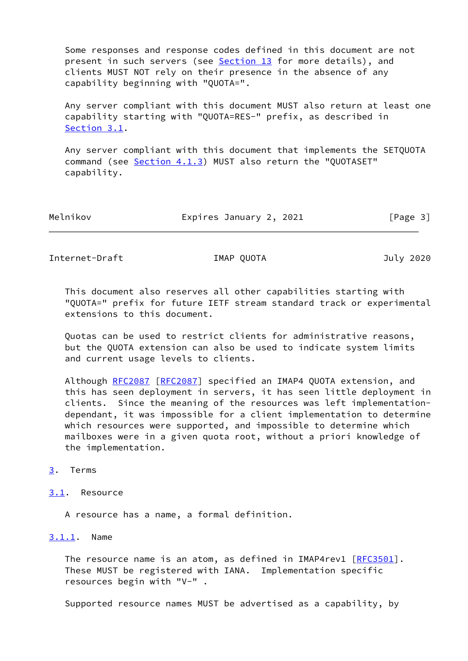Some responses and response codes defined in this document are not present in such servers (see [Section 13](#page-17-4) for more details), and clients MUST NOT rely on their presence in the absence of any capability beginning with "QUOTA=".

 Any server compliant with this document MUST also return at least one capability starting with "QUOTA=RES-" prefix, as described in [Section 3.1](#page-3-2).

 Any server compliant with this document that implements the SETQUOTA command (see [Section 4.1.3](#page-7-0)) MUST also return the "QUOTASET" capability.

| Melnikov | Expires January 2, 2021 | [Page 3] |
|----------|-------------------------|----------|
|          |                         |          |

<span id="page-3-1"></span>Internet-Draft IMAP QUOTA July 2020

 This document also reserves all other capabilities starting with "QUOTA=" prefix for future IETF stream standard track or experimental extensions to this document.

 Quotas can be used to restrict clients for administrative reasons, but the QUOTA extension can also be used to indicate system limits and current usage levels to clients.

Although [RFC2087](https://datatracker.ietf.org/doc/pdf/rfc2087) [\[RFC2087](https://datatracker.ietf.org/doc/pdf/rfc2087)] specified an IMAP4 QUOTA extension, and this has seen deployment in servers, it has seen little deployment in clients. Since the meaning of the resources was left implementation dependant, it was impossible for a client implementation to determine which resources were supported, and impossible to determine which mailboxes were in a given quota root, without a priori knowledge of the implementation.

# <span id="page-3-0"></span>[3](#page-3-0). Terms

## <span id="page-3-2"></span>[3.1](#page-3-2). Resource

A resource has a name, a formal definition.

## <span id="page-3-3"></span>[3.1.1](#page-3-3). Name

The resource name is an atom, as defined in IMAP4rev1 [[RFC3501](https://datatracker.ietf.org/doc/pdf/rfc3501)]. These MUST be registered with IANA. Implementation specific resources begin with "V-" .

Supported resource names MUST be advertised as a capability, by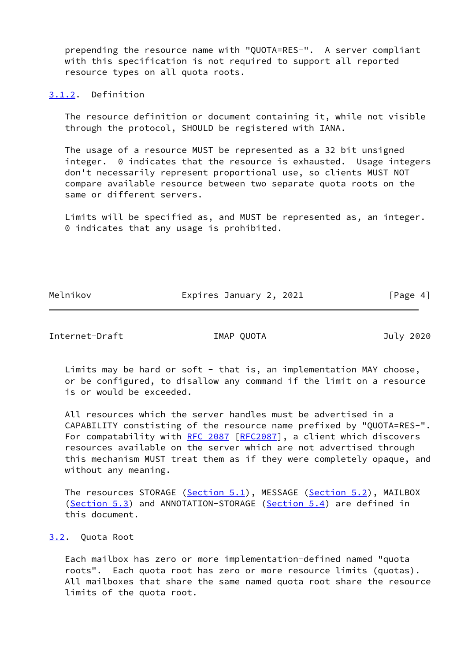prepending the resource name with "QUOTA=RES-". A server compliant with this specification is not required to support all reported resource types on all quota roots.

<span id="page-4-0"></span>[3.1.2](#page-4-0). Definition

 The resource definition or document containing it, while not visible through the protocol, SHOULD be registered with IANA.

 The usage of a resource MUST be represented as a 32 bit unsigned integer. 0 indicates that the resource is exhausted. Usage integers don't necessarily represent proportional use, so clients MUST NOT compare available resource between two separate quota roots on the same or different servers.

 Limits will be specified as, and MUST be represented as, an integer. 0 indicates that any usage is prohibited.

Melnikov **Expires January 2, 2021** [Page 4]

<span id="page-4-2"></span>Internet-Draft IMAP QUOTA July 2020

Limits may be hard or soft - that is, an implementation MAY choose, or be configured, to disallow any command if the limit on a resource is or would be exceeded.

 All resources which the server handles must be advertised in a CAPABILITY constisting of the resource name prefixed by "QUOTA=RES-". For compatability with [RFC 2087 \[RFC2087](https://datatracker.ietf.org/doc/pdf/rfc2087)], a client which discovers resources available on the server which are not advertised through this mechanism MUST treat them as if they were completely opaque, and without any meaning.

The resources STORAGE ([Section 5.1](#page-11-2)), MESSAGE [\(Section 5.2](#page-12-0)), MAILBOX [\(Section 5.3](#page-12-1)) and ANNOTATION-STORAGE [\(Section 5.4](#page-12-3)) are defined in this document.

## <span id="page-4-1"></span>[3.2](#page-4-1). Quota Root

 Each mailbox has zero or more implementation-defined named "quota roots". Each quota root has zero or more resource limits (quotas). All mailboxes that share the same named quota root share the resource limits of the quota root.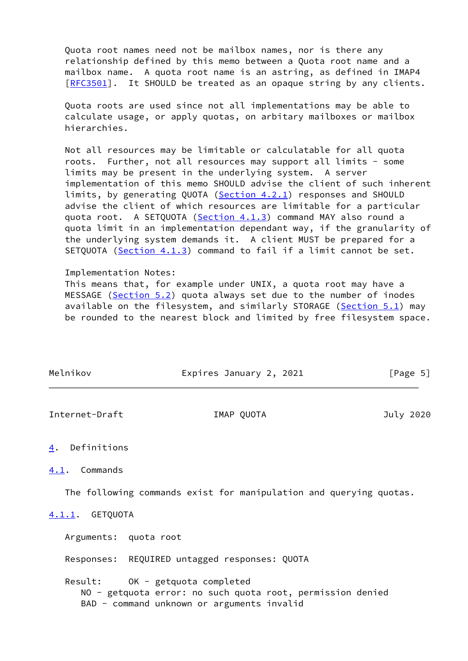Quota root names need not be mailbox names, nor is there any relationship defined by this memo between a Quota root name and a mailbox name. A quota root name is an astring, as defined in IMAP4 [\[RFC3501](https://datatracker.ietf.org/doc/pdf/rfc3501)]. It SHOULD be treated as an opaque string by any clients.

 Quota roots are used since not all implementations may be able to calculate usage, or apply quotas, on arbitary mailboxes or mailbox hierarchies.

 Not all resources may be limitable or calculatable for all quota roots. Further, not all resources may support all limits - some limits may be present in the underlying system. A server implementation of this memo SHOULD advise the client of such inherent limits, by generating QUOTA [\(Section 4.2.1](#page-9-2)) responses and SHOULD advise the client of which resources are limitable for a particular quota root. A SETQUOTA [\(Section 4.1.3](#page-7-0)) command MAY also round a quota limit in an implementation dependant way, if the granularity of the underlying system demands it. A client MUST be prepared for a SETQUOTA [\(Section 4.1.3\)](#page-7-0) command to fail if a limit cannot be set.

Implementation Notes:

 This means that, for example under UNIX, a quota root may have a MESSAGE [\(Section 5.2](#page-12-0)) quota always set due to the number of inodes available on the filesystem, and similarly STORAGE ([Section 5.1\)](#page-11-2) may be rounded to the nearest block and limited by free filesystem space.

| Melnikov | Expires January 2, 2021 | [Page 5] |
|----------|-------------------------|----------|
|          |                         |          |

<span id="page-5-1"></span>Internet-Draft IMAP QUOTA July 2020

# <span id="page-5-0"></span>[4](#page-5-0). Definitions

<span id="page-5-2"></span>[4.1](#page-5-2). Commands

The following commands exist for manipulation and querying quotas.

## <span id="page-5-3"></span>[4.1.1](#page-5-3). GETQUOTA

Arguments: quota root

Responses: REQUIRED untagged responses: QUOTA

 Result: OK - getquota completed NO - getquota error: no such quota root, permission denied BAD - command unknown or arguments invalid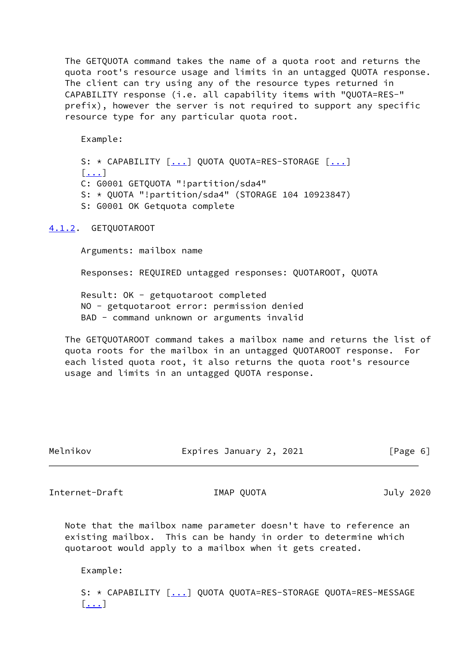The GETQUOTA command takes the name of a quota root and returns the quota root's resource usage and limits in an untagged QUOTA response. The client can try using any of the resource types returned in CAPABILITY response (i.e. all capability items with "QUOTA=RES-" prefix), however the server is not required to support any specific resource type for any particular quota root.

Example:

S: \* CAPABILITY [[...\]](#page-7-2) QUOTA QUOTA=RES-STORAGE [\[...](#page-7-2)] [[...\]](#page-7-2) C: G0001 GETQUOTA "!partition/sda4" S: \* QUOTA "!partition/sda4" (STORAGE 104 10923847) S: G0001 OK Getquota complete

## <span id="page-6-0"></span>[4.1.2](#page-6-0). GETQUOTAROOT

Arguments: mailbox name

Responses: REQUIRED untagged responses: QUOTAROOT, QUOTA

 Result: OK - getquotaroot completed NO - getquotaroot error: permission denied BAD - command unknown or arguments invalid

 The GETQUOTAROOT command takes a mailbox name and returns the list of quota roots for the mailbox in an untagged QUOTAROOT response. For each listed quota root, it also returns the quota root's resource usage and limits in an untagged QUOTA response.

| Melnikov | Expires January 2, 2021 | [Page 6] |
|----------|-------------------------|----------|
|          |                         |          |

<span id="page-6-1"></span>Internet-Draft IMAP QUOTA July 2020

 Note that the mailbox name parameter doesn't have to reference an existing mailbox. This can be handy in order to determine which quotaroot would apply to a mailbox when it gets created.

Example:

S: \* CAPABILITY  $[\dots]$  QUOTA QUOTA=RES-STORAGE QUOTA=RES-MESSAGE [[...\]](#page-7-2)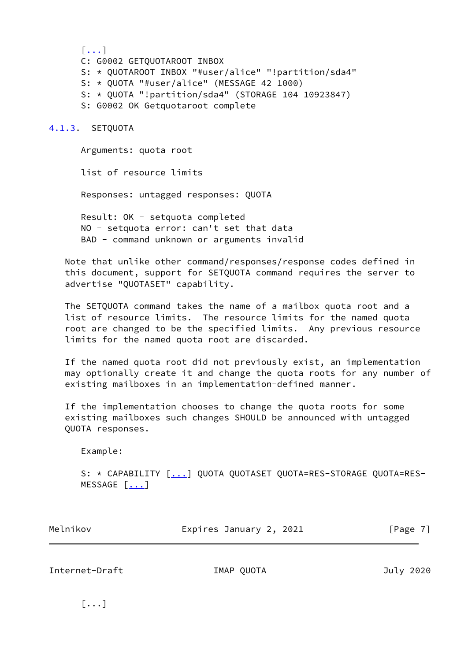[[...\]](#page-7-2) C: G0002 GETQUOTAROOT INBOX S: \* QUOTAROOT INBOX "#user/alice" "!partition/sda4" S: \* QUOTA "#user/alice" (MESSAGE 42 1000) S: \* QUOTA "!partition/sda4" (STORAGE 104 10923847) S: G0002 OK Getquotaroot complete

### <span id="page-7-0"></span>[4.1.3](#page-7-0). SETQUOTA

 Arguments: quota root list of resource limits Responses: untagged responses: QUOTA Result: OK - setquota completed NO - setquota error: can't set that data BAD - command unknown or arguments invalid

 Note that unlike other command/responses/response codes defined in this document, support for SETQUOTA command requires the server to advertise "QUOTASET" capability.

 The SETQUOTA command takes the name of a mailbox quota root and a list of resource limits. The resource limits for the named quota root are changed to be the specified limits. Any previous resource limits for the named quota root are discarded.

 If the named quota root did not previously exist, an implementation may optionally create it and change the quota roots for any number of existing mailboxes in an implementation-defined manner.

 If the implementation chooses to change the quota roots for some existing mailboxes such changes SHOULD be announced with untagged QUOTA responses.

Example:

 S: \* CAPABILITY [[...\]](#page-7-2) QUOTA QUOTASET QUOTA=RES-STORAGE QUOTA=RES-  $MESSAGE$   $[\ldots]$ 

| Melnikov | Expires January 2, 2021 | [Page 7] |
|----------|-------------------------|----------|
|----------|-------------------------|----------|

<span id="page-7-1"></span>Internet-Draft IMAP QUOTA July 2020

<span id="page-7-2"></span> $[\ldots]$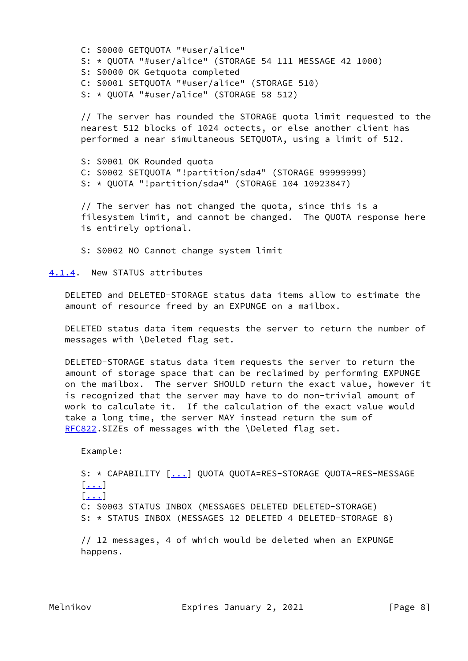C: S0000 GETQUOTA "#user/alice" S: \* QUOTA "#user/alice" (STORAGE 54 111 MESSAGE 42 1000) S: S0000 OK Getquota completed C: S0001 SETQUOTA "#user/alice" (STORAGE 510) S: \* QUOTA "#user/alice" (STORAGE 58 512)

 // The server has rounded the STORAGE quota limit requested to the nearest 512 blocks of 1024 octects, or else another client has performed a near simultaneous SETQUOTA, using a limit of 512.

 S: S0001 OK Rounded quota C: S0002 SETQUOTA "!partition/sda4" (STORAGE 99999999) S: \* QUOTA "!partition/sda4" (STORAGE 104 10923847)

 // The server has not changed the quota, since this is a filesystem limit, and cannot be changed. The QUOTA response here is entirely optional.

S: S0002 NO Cannot change system limit

<span id="page-8-0"></span>[4.1.4](#page-8-0). New STATUS attributes

 DELETED and DELETED-STORAGE status data items allow to estimate the amount of resource freed by an EXPUNGE on a mailbox.

 DELETED status data item requests the server to return the number of messages with \Deleted flag set.

 DELETED-STORAGE status data item requests the server to return the amount of storage space that can be reclaimed by performing EXPUNGE on the mailbox. The server SHOULD return the exact value, however it is recognized that the server may have to do non-trivial amount of work to calculate it. If the calculation of the exact value would take a long time, the server MAY instead return the sum of [RFC822](https://datatracker.ietf.org/doc/pdf/rfc822).SIZEs of messages with the \Deleted flag set.

Example:

S: \* CAPABILITY [[...\]](#page-7-2) QUOTA QUOTA=RES-STORAGE QUOTA-RES-MESSAGE [[...\]](#page-7-2)  $\lceil \cdot \rceil$  C: S0003 STATUS INBOX (MESSAGES DELETED DELETED-STORAGE) S: \* STATUS INBOX (MESSAGES 12 DELETED 4 DELETED-STORAGE 8)

 // 12 messages, 4 of which would be deleted when an EXPUNGE happens.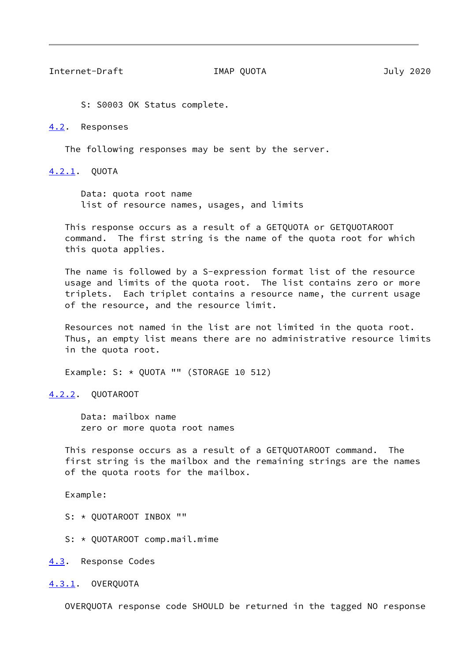<span id="page-9-1"></span>Internet-Draft IMAP QUOTA July 2020

S: S0003 OK Status complete.

<span id="page-9-0"></span>[4.2](#page-9-0). Responses

The following responses may be sent by the server.

<span id="page-9-2"></span>[4.2.1](#page-9-2). QUOTA

 Data: quota root name list of resource names, usages, and limits

 This response occurs as a result of a GETQUOTA or GETQUOTAROOT command. The first string is the name of the quota root for which this quota applies.

 The name is followed by a S-expression format list of the resource usage and limits of the quota root. The list contains zero or more triplets. Each triplet contains a resource name, the current usage of the resource, and the resource limit.

 Resources not named in the list are not limited in the quota root. Thus, an empty list means there are no administrative resource limits in the quota root.

Example: S: \* QUOTA "" (STORAGE 10 512)

<span id="page-9-3"></span>[4.2.2](#page-9-3). QUOTAROOT

 Data: mailbox name zero or more quota root names

 This response occurs as a result of a GETQUOTAROOT command. The first string is the mailbox and the remaining strings are the names of the quota roots for the mailbox.

Example:

S: \* QUOTAROOT INBOX ""

S: \* QUOTAROOT comp.mail.mime

<span id="page-9-4"></span>[4.3](#page-9-4). Response Codes

<span id="page-9-5"></span>[4.3.1](#page-9-5). OVERQUOTA

OVERQUOTA response code SHOULD be returned in the tagged NO response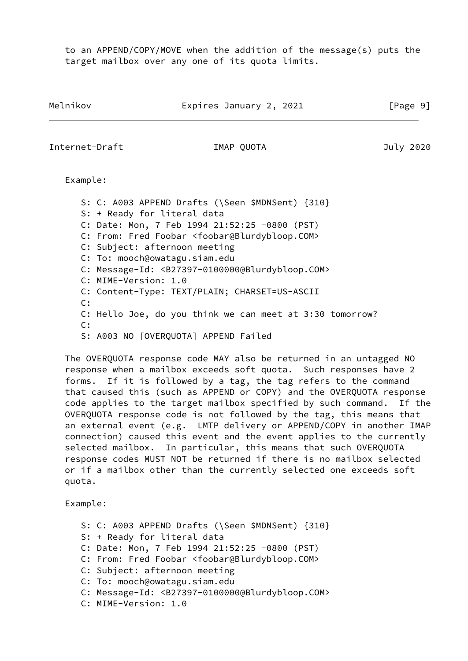to an APPEND/COPY/MOVE when the addition of the message(s) puts the target mailbox over any one of its quota limits.

Melnikov **Expires January 2, 2021** [Page 9]

Internet-Draft IMAP QUOTA July 2020

Example:

 S: C: A003 APPEND Drafts (\Seen \$MDNSent) {310} S: + Ready for literal data C: Date: Mon, 7 Feb 1994 21:52:25 -0800 (PST) C: From: Fred Foobar <foobar@Blurdybloop.COM> C: Subject: afternoon meeting C: To: mooch@owatagu.siam.edu C: Message-Id: <B27397-0100000@Blurdybloop.COM> C: MIME-Version: 1.0 C: Content-Type: TEXT/PLAIN; CHARSET=US-ASCII  $C:$  C: Hello Joe, do you think we can meet at 3:30 tomorrow? C: S: A003 NO [OVERQUOTA] APPEND Failed

 The OVERQUOTA response code MAY also be returned in an untagged NO response when a mailbox exceeds soft quota. Such responses have 2 forms. If it is followed by a tag, the tag refers to the command that caused this (such as APPEND or COPY) and the OVERQUOTA response code applies to the target mailbox specified by such command. If the OVERQUOTA response code is not followed by the tag, this means that an external event (e.g. LMTP delivery or APPEND/COPY in another IMAP connection) caused this event and the event applies to the currently selected mailbox. In particular, this means that such OVERQUOTA response codes MUST NOT be returned if there is no mailbox selected or if a mailbox other than the currently selected one exceeds soft quota.

Example:

- S: C: A003 APPEND Drafts (\Seen \$MDNSent) {310}
- S: + Ready for literal data
- C: Date: Mon, 7 Feb 1994 21:52:25 -0800 (PST)
- C: From: Fred Foobar <foobar@Blurdybloop.COM>
- C: Subject: afternoon meeting
- C: To: mooch@owatagu.siam.edu
- C: Message-Id: <B27397-0100000@Blurdybloop.COM>
- C: MIME-Version: 1.0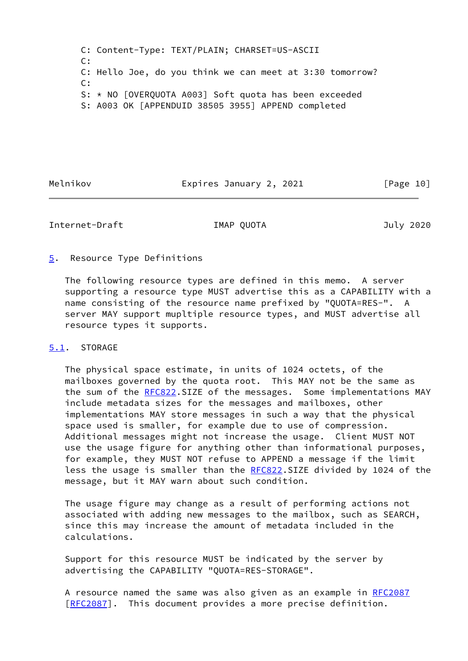C: Content-Type: TEXT/PLAIN; CHARSET=US-ASCII C: C: Hello Joe, do you think we can meet at 3:30 tomorrow? C: S: \* NO [OVERQUOTA A003] Soft quota has been exceeded S: A003 OK [APPENDUID 38505 3955] APPEND completed

Melnikov **Expires January 2, 2021** [Page 10]

<span id="page-11-1"></span>Internet-Draft IMAP QUOTA July 2020

## <span id="page-11-0"></span>[5](#page-11-0). Resource Type Definitions

 The following resource types are defined in this memo. A server supporting a resource type MUST advertise this as a CAPABILITY with a name consisting of the resource name prefixed by "QUOTA=RES-". A server MAY support mupltiple resource types, and MUST advertise all resource types it supports.

# <span id="page-11-2"></span>[5.1](#page-11-2). STORAGE

 The physical space estimate, in units of 1024 octets, of the mailboxes governed by the quota root. This MAY not be the same as the sum of the [RFC822](https://datatracker.ietf.org/doc/pdf/rfc822).SIZE of the messages. Some implementations MAY include metadata sizes for the messages and mailboxes, other implementations MAY store messages in such a way that the physical space used is smaller, for example due to use of compression. Additional messages might not increase the usage. Client MUST NOT use the usage figure for anything other than informational purposes, for example, they MUST NOT refuse to APPEND a message if the limit less the usage is smaller than the [RFC822](https://datatracker.ietf.org/doc/pdf/rfc822).SIZE divided by 1024 of the message, but it MAY warn about such condition.

 The usage figure may change as a result of performing actions not associated with adding new messages to the mailbox, such as SEARCH, since this may increase the amount of metadata included in the calculations.

 Support for this resource MUST be indicated by the server by advertising the CAPABILITY "QUOTA=RES-STORAGE".

A resource named the same was also given as an example in [RFC2087](https://datatracker.ietf.org/doc/pdf/rfc2087) [\[RFC2087](https://datatracker.ietf.org/doc/pdf/rfc2087)]. This document provides a more precise definition.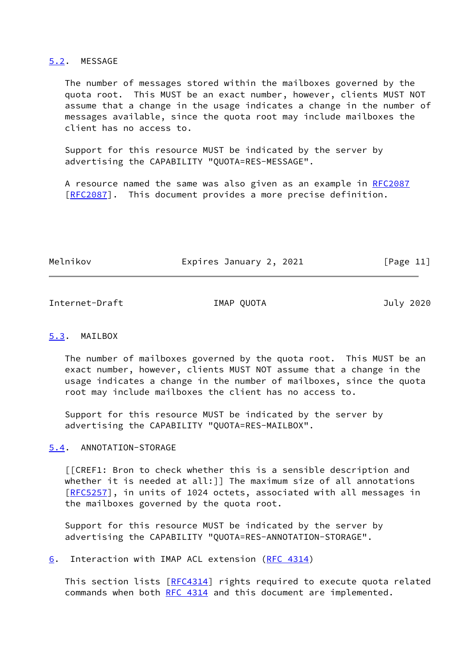### <span id="page-12-0"></span>[5.2](#page-12-0). MESSAGE

 The number of messages stored within the mailboxes governed by the quota root. This MUST be an exact number, however, clients MUST NOT assume that a change in the usage indicates a change in the number of messages available, since the quota root may include mailboxes the client has no access to.

 Support for this resource MUST be indicated by the server by advertising the CAPABILITY "QUOTA=RES-MESSAGE".

 A resource named the same was also given as an example in [RFC2087](https://datatracker.ietf.org/doc/pdf/rfc2087) [\[RFC2087](https://datatracker.ietf.org/doc/pdf/rfc2087)]. This document provides a more precise definition.

Melnikov Expires January 2, 2021 [Page 11]

<span id="page-12-2"></span>Internet-Draft IMAP QUOTA July 2020

## <span id="page-12-1"></span>[5.3](#page-12-1). MAILBOX

 The number of mailboxes governed by the quota root. This MUST be an exact number, however, clients MUST NOT assume that a change in the usage indicates a change in the number of mailboxes, since the quota root may include mailboxes the client has no access to.

 Support for this resource MUST be indicated by the server by advertising the CAPABILITY "QUOTA=RES-MAILBOX".

# <span id="page-12-3"></span>[5.4](#page-12-3). ANNOTATION-STORAGE

 [[CREF1: Bron to check whether this is a sensible description and whether it is needed at all:]] The maximum size of all annotations [\[RFC5257](https://datatracker.ietf.org/doc/pdf/rfc5257)], in units of 1024 octets, associated with all messages in the mailboxes governed by the quota root.

 Support for this resource MUST be indicated by the server by advertising the CAPABILITY "QUOTA=RES-ANNOTATION-STORAGE".

<span id="page-12-4"></span>[6](#page-12-4). Interaction with IMAP ACL extension [\(RFC 4314](https://datatracker.ietf.org/doc/pdf/rfc4314))

This section lists [[RFC4314\]](https://datatracker.ietf.org/doc/pdf/rfc4314) rights required to execute quota related commands when both [RFC 4314](https://datatracker.ietf.org/doc/pdf/rfc4314) and this document are implemented.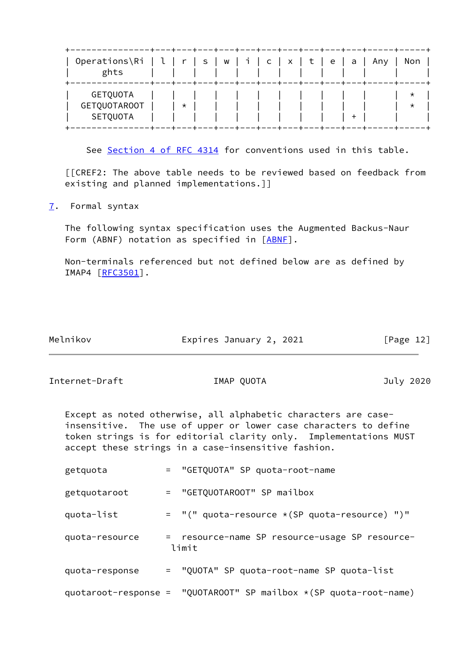| Operations\Ri   l<br>ghts |  | $r_{-}$ |  | s   w   i   c   x   t   e   a |              |  |                   | Any | Non     |
|---------------------------|--|---------|--|-------------------------------|--------------|--|-------------------|-----|---------|
| GETQUOTA                  |  |         |  |                               | $\mathbf{I}$ |  |                   |     | ★       |
| <b>GETQUOTAROOT</b>       |  | $\star$ |  |                               |              |  |                   |     | $\star$ |
| SETQUOTA                  |  |         |  |                               |              |  | $\cdot$ + $\cdot$ |     |         |

See Section [4 of RFC 4314](https://datatracker.ietf.org/doc/pdf/rfc4314#section-4) for conventions used in this table.

 [[CREF2: The above table needs to be reviewed based on feedback from existing and planned implementations.]]

<span id="page-13-0"></span>[7](#page-13-0). Formal syntax

 The following syntax specification uses the Augmented Backus-Naur Form (ABNF) notation as specified in [\[ABNF](#page-18-4)].

 Non-terminals referenced but not defined below are as defined by IMAP4 [[RFC3501](https://datatracker.ietf.org/doc/pdf/rfc3501)].

| Melnikov | Expires January 2, 2021 | [Page 12] |
|----------|-------------------------|-----------|

Internet-Draft IMAP QUOTA July 2020

 Except as noted otherwise, all alphabetic characters are case insensitive. The use of upper or lower case characters to define token strings is for editorial clarity only. Implementations MUST accept these strings in a case-insensitive fashion.

| getquota       | = "GETQUOTA" SP quota-root-name                                          |
|----------------|--------------------------------------------------------------------------|
| getquotaroot   | = "GETQUOTAROOT" SP mailbox                                              |
| quota-list     | = "(" quota-resource *(SP quota-resource) ")"                            |
| quota-resource | = resource-name SP resource-usage SP resource-<br>limit                  |
| quota-response | = "QUOTA" SP quota-root-name SP quota-list                               |
|                | quotaroot-response = "QUOTAROOT" SP mailbox $\star$ (SP quota-root-name) |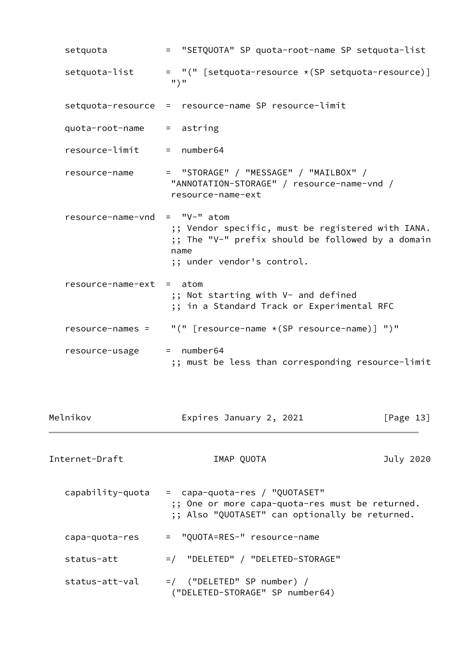| setquota                 | = "SETQUOTA" SP quota-root-name SP setquota-list                                                                                                              |
|--------------------------|---------------------------------------------------------------------------------------------------------------------------------------------------------------|
| setquota-list            | = "(" [setquota-resource * (SP setquota-resource)]<br>$"$ ) $"$                                                                                               |
|                          | setquota-resource = resource-name SP resource-limit                                                                                                           |
| quota-root-name          | $=$ astring                                                                                                                                                   |
| resource-limit           | $=$ number64                                                                                                                                                  |
| resource-name            | = "STORAGE" / "MESSAGE" / "MAILBOX" /<br>"ANNOTATION-STORAGE" / resource-name-vnd /<br>resource-name-ext                                                      |
| resource-name-vnd        | $=$ "V-" atom<br>;; Vendor specific, must be registered with IANA.<br>;; The "V-" prefix should be followed by a domain<br>name<br>;; under vendor's control. |
| resource-name-ext = atom | ;; Not starting with V- and defined<br>;; in a Standard Track or Experimental RFC                                                                             |
| $resource-names =$       | "(" [resource-name *(SP resource-name)] ")"                                                                                                                   |
| resource-usage           | $=$ number64<br>;; must be less than corresponding resource-limit                                                                                             |
|                          |                                                                                                                                                               |

<span id="page-14-0"></span>

| Melnikov         | Expires January 2, 2021                                                                                                            | [Page 13] |
|------------------|------------------------------------------------------------------------------------------------------------------------------------|-----------|
| Internet-Draft   | IMAP QUOTA                                                                                                                         | July 2020 |
| capability-quota | = capa-quota-res / "QUOTASET"<br>;; One or more capa-quota-res must be returned.<br>;; Also "QUOTASET" can optionally be returned. |           |
| capa-quota-res   | = "QUOTA=RES-" resource-name                                                                                                       |           |
| status-att       | =/ "DELETED" / "DELETED-STORAGE"                                                                                                   |           |
| status-att-val   | $=$ ("DELETED" SP number) /<br>("DELETED-STORAGE" SP number64)                                                                     |           |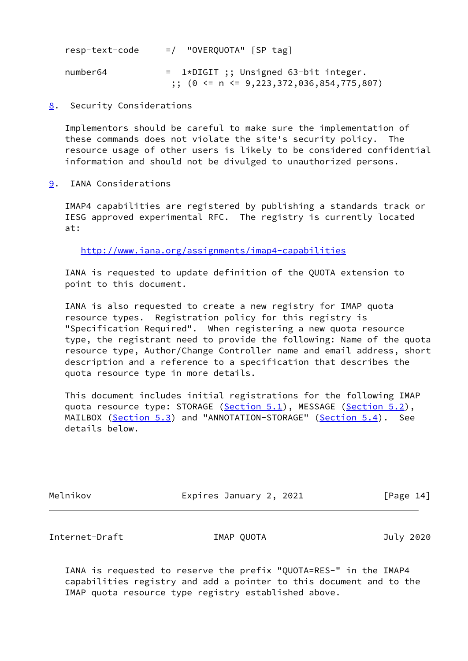| resp-text-code | $=$ / "OVERQUOTA" [SP tag]                                                                 |
|----------------|--------------------------------------------------------------------------------------------|
| number64       | $= 1*DIGIT$ ;; Unsigned 63-bit integer.<br>$\cdot$ ; (0 <= n <= 9,223,372,036,854,775,807) |

<span id="page-15-0"></span>[8](#page-15-0). Security Considerations

 Implementors should be careful to make sure the implementation of these commands does not violate the site's security policy. The resource usage of other users is likely to be considered confidential information and should not be divulged to unauthorized persons.

<span id="page-15-1"></span>[9](#page-15-1). IANA Considerations

 IMAP4 capabilities are registered by publishing a standards track or IESG approved experimental RFC. The registry is currently located at:

<http://www.iana.org/assignments/imap4-capabilities>

 IANA is requested to update definition of the QUOTA extension to point to this document.

 IANA is also requested to create a new registry for IMAP quota resource types. Registration policy for this registry is "Specification Required". When registering a new quota resource type, the registrant need to provide the following: Name of the quota resource type, Author/Change Controller name and email address, short description and a reference to a specification that describes the quota resource type in more details.

 This document includes initial registrations for the following IMAP quota resource type: STORAGE [\(Section 5.1](#page-11-2)), MESSAGE [\(Section 5.2](#page-12-0)), MAILBOX [\(Section 5.3](#page-12-1)) and "ANNOTATION-STORAGE" [\(Section 5.4](#page-12-3)). See details below.

Melnikov **Expires January 2, 2021** [Page 14]

<span id="page-15-2"></span>Internet-Draft IMAP QUOTA July 2020

 IANA is requested to reserve the prefix "QUOTA=RES-" in the IMAP4 capabilities registry and add a pointer to this document and to the IMAP quota resource type registry established above.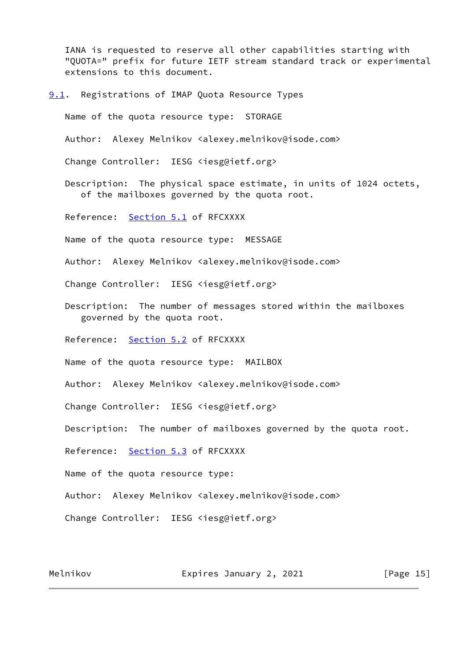IANA is requested to reserve all other capabilities starting with "QUOTA=" prefix for future IETF stream standard track or experimental extensions to this document.

<span id="page-16-0"></span>**[9.1](#page-16-0).** Registrations of IMAP Quota Resource Types

Name of the quota resource type: STORAGE

Author: Alexey Melnikov <alexey.melnikov@isode.com>

Change Controller: IESG <iesg@ietf.org>

 Description: The physical space estimate, in units of 1024 octets, of the mailboxes governed by the quota root.

Reference: [Section 5.1](#page-11-2) of RFCXXXX

Name of the quota resource type: MESSAGE

Author: Alexey Melnikov <alexey.melnikov@isode.com>

Change Controller: IESG <iesg@ietf.org>

 Description: The number of messages stored within the mailboxes governed by the quota root.

Reference: [Section 5.2](#page-12-0) of RFCXXXX

Name of the quota resource type: MAILBOX

Author: Alexey Melnikov <alexey.melnikov@isode.com>

Change Controller: IESG <iesg@ietf.org>

Description: The number of mailboxes governed by the quota root.

Reference: [Section 5.3](#page-12-1) of RFCXXXX

Name of the quota resource type:

Author: Alexey Melnikov <alexey.melnikov@isode.com>

Change Controller: IESG <iesg@ietf.org>

Melnikov **Expires January 2, 2021** [Page 15]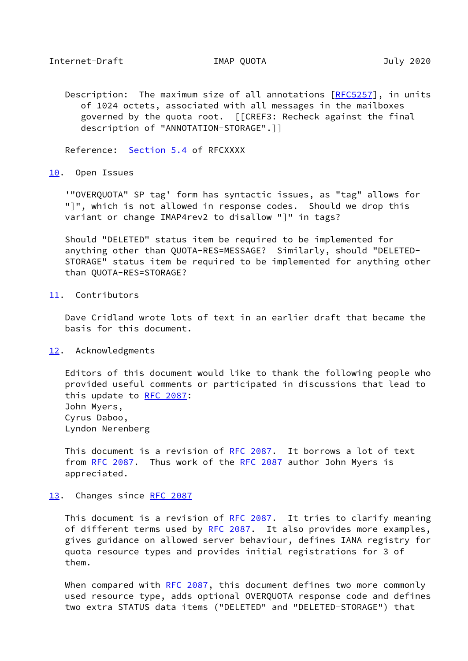<span id="page-17-1"></span> Description: The maximum size of all annotations [[RFC5257](https://datatracker.ietf.org/doc/pdf/rfc5257)], in units of 1024 octets, associated with all messages in the mailboxes governed by the quota root. [[CREF3: Recheck against the final description of "ANNOTATION-STORAGE".]]

Reference: [Section 5.4](#page-12-3) of RFCXXXX

### <span id="page-17-0"></span>[10.](#page-17-0) Open Issues

 '"OVERQUOTA" SP tag' form has syntactic issues, as "tag" allows for "]", which is not allowed in response codes. Should we drop this variant or change IMAP4rev2 to disallow "]" in tags?

 Should "DELETED" status item be required to be implemented for anything other than QUOTA-RES=MESSAGE? Similarly, should "DELETED- STORAGE" status item be required to be implemented for anything other than QUOTA-RES=STORAGE?

## <span id="page-17-2"></span>[11.](#page-17-2) Contributors

 Dave Cridland wrote lots of text in an earlier draft that became the basis for this document.

# <span id="page-17-3"></span>[12.](#page-17-3) Acknowledgments

 Editors of this document would like to thank the following people who provided useful comments or participated in discussions that lead to this update to [RFC 2087:](https://datatracker.ietf.org/doc/pdf/rfc2087) John Myers, Cyrus Daboo, Lyndon Nerenberg

 This document is a revision of [RFC 2087.](https://datatracker.ietf.org/doc/pdf/rfc2087) It borrows a lot of text from [RFC 2087](https://datatracker.ietf.org/doc/pdf/rfc2087). Thus work of the RFC 2087 author John Myers is appreciated.

## <span id="page-17-4"></span>[13.](#page-17-4) Changes since [RFC 2087](https://datatracker.ietf.org/doc/pdf/rfc2087)

This document is a revision of [RFC 2087.](https://datatracker.ietf.org/doc/pdf/rfc2087) It tries to clarify meaning of different terms used by [RFC 2087.](https://datatracker.ietf.org/doc/pdf/rfc2087) It also provides more examples, gives guidance on allowed server behaviour, defines IANA registry for quota resource types and provides initial registrations for 3 of them.

When compared with [RFC 2087,](https://datatracker.ietf.org/doc/pdf/rfc2087) this document defines two more commonly used resource type, adds optional OVERQUOTA response code and defines two extra STATUS data items ("DELETED" and "DELETED-STORAGE") that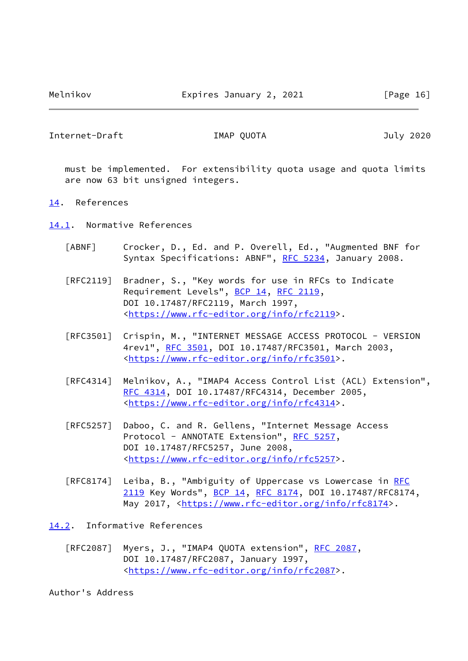<span id="page-18-1"></span>Internet-Draft IMAP QUOTA July 2020

 must be implemented. For extensibility quota usage and quota limits are now 63 bit unsigned integers.

### <span id="page-18-0"></span>[14.](#page-18-0) References

<span id="page-18-2"></span>[14.1](#page-18-2). Normative References

- <span id="page-18-4"></span> [ABNF] Crocker, D., Ed. and P. Overell, Ed., "Augmented BNF for Syntax Specifications: ABNF", [RFC 5234](https://datatracker.ietf.org/doc/pdf/rfc5234), January 2008.
- [RFC2119] Bradner, S., "Key words for use in RFCs to Indicate Requirement Levels", [BCP 14](https://datatracker.ietf.org/doc/pdf/bcp14), [RFC 2119](https://datatracker.ietf.org/doc/pdf/rfc2119), DOI 10.17487/RFC2119, March 1997, <[https://www.rfc-editor.org/info/rfc2119>](https://www.rfc-editor.org/info/rfc2119).
- [RFC3501] Crispin, M., "INTERNET MESSAGE ACCESS PROTOCOL VERSION 4rev1", [RFC 3501,](https://datatracker.ietf.org/doc/pdf/rfc3501) DOI 10.17487/RFC3501, March 2003, <[https://www.rfc-editor.org/info/rfc3501>](https://www.rfc-editor.org/info/rfc3501).
- [RFC4314] Melnikov, A., "IMAP4 Access Control List (ACL) Extension", [RFC 4314,](https://datatracker.ietf.org/doc/pdf/rfc4314) DOI 10.17487/RFC4314, December 2005, <[https://www.rfc-editor.org/info/rfc4314>](https://www.rfc-editor.org/info/rfc4314).
- [RFC5257] Daboo, C. and R. Gellens, "Internet Message Access Protocol - ANNOTATE Extension", [RFC 5257,](https://datatracker.ietf.org/doc/pdf/rfc5257) DOI 10.17487/RFC5257, June 2008, <[https://www.rfc-editor.org/info/rfc5257>](https://www.rfc-editor.org/info/rfc5257).
- [RFC8174] Leiba, B., "Ambiguity of Uppercase vs Lowercase in [RFC](https://datatracker.ietf.org/doc/pdf/rfc2119) [2119](https://datatracker.ietf.org/doc/pdf/rfc2119) Key Words", [BCP 14](https://datatracker.ietf.org/doc/pdf/bcp14), [RFC 8174,](https://datatracker.ietf.org/doc/pdf/rfc8174) DOI 10.17487/RFC8174, May 2017, [<https://www.rfc-editor.org/info/rfc8174](https://www.rfc-editor.org/info/rfc8174)>.

<span id="page-18-3"></span>[14.2](#page-18-3). Informative References

 [RFC2087] Myers, J., "IMAP4 QUOTA extension", [RFC 2087,](https://datatracker.ietf.org/doc/pdf/rfc2087) DOI 10.17487/RFC2087, January 1997, <[https://www.rfc-editor.org/info/rfc2087>](https://www.rfc-editor.org/info/rfc2087).

Author's Address